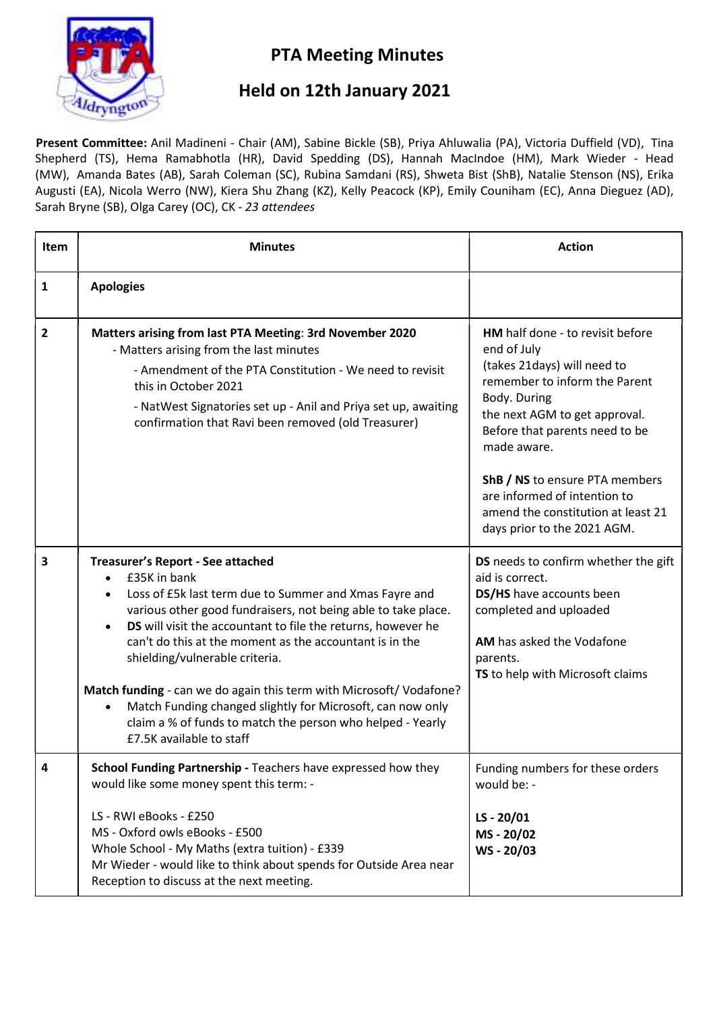

## PTA Meeting Minutes

## Held on 12th January 2021

Present Committee: Anil Madineni - Chair (AM), Sabine Bickle (SB), Priya Ahluwalia (PA), Victoria Duffield (VD), Tina Shepherd (TS), Hema Ramabhotla (HR), David Spedding (DS), Hannah MacIndoe (HM), Mark Wieder - Head (MW), Amanda Bates (AB), Sarah Coleman (SC), Rubina Samdani (RS), Shweta Bist (ShB), Natalie Stenson (NS), Erika Augusti (EA), Nicola Werro (NW), Kiera Shu Zhang (KZ), Kelly Peacock (KP), Emily Couniham (EC), Anna Dieguez (AD), Sarah Bryne (SB), Olga Carey (OC), CK - 23 attendees

| <b>Item</b>    | <b>Minutes</b>                                                                                                                                                                                                                                                                                                                                                                                                                                                                                                                                                                                                              | <b>Action</b>                                                                                                                                                                                                                                                                                                                                            |
|----------------|-----------------------------------------------------------------------------------------------------------------------------------------------------------------------------------------------------------------------------------------------------------------------------------------------------------------------------------------------------------------------------------------------------------------------------------------------------------------------------------------------------------------------------------------------------------------------------------------------------------------------------|----------------------------------------------------------------------------------------------------------------------------------------------------------------------------------------------------------------------------------------------------------------------------------------------------------------------------------------------------------|
| 1              | <b>Apologies</b>                                                                                                                                                                                                                                                                                                                                                                                                                                                                                                                                                                                                            |                                                                                                                                                                                                                                                                                                                                                          |
| $\overline{2}$ | Matters arising from last PTA Meeting: 3rd November 2020<br>- Matters arising from the last minutes<br>- Amendment of the PTA Constitution - We need to revisit<br>this in October 2021<br>- NatWest Signatories set up - Anil and Priya set up, awaiting<br>confirmation that Ravi been removed (old Treasurer)                                                                                                                                                                                                                                                                                                            | HM half done - to revisit before<br>end of July<br>(takes 21days) will need to<br>remember to inform the Parent<br>Body. During<br>the next AGM to get approval.<br>Before that parents need to be<br>made aware.<br>ShB / NS to ensure PTA members<br>are informed of intention to<br>amend the constitution at least 21<br>days prior to the 2021 AGM. |
| 3              | Treasurer's Report - See attached<br>£35K in bank<br>$\bullet$<br>Loss of £5k last term due to Summer and Xmas Fayre and<br>$\bullet$<br>various other good fundraisers, not being able to take place.<br>DS will visit the accountant to file the returns, however he<br>$\bullet$<br>can't do this at the moment as the accountant is in the<br>shielding/vulnerable criteria.<br>Match funding - can we do again this term with Microsoft/Vodafone?<br>Match Funding changed slightly for Microsoft, can now only<br>$\bullet$<br>claim a % of funds to match the person who helped - Yearly<br>£7.5K available to staff | DS needs to confirm whether the gift<br>aid is correct.<br>DS/HS have accounts been<br>completed and uploaded<br>AM has asked the Vodafone<br>parents.<br>TS to help with Microsoft claims                                                                                                                                                               |
| 4              | School Funding Partnership - Teachers have expressed how they<br>would like some money spent this term: -<br>LS - RWI eBooks - £250<br>MS - Oxford owls eBooks - £500<br>Whole School - My Maths (extra tuition) - £339<br>Mr Wieder - would like to think about spends for Outside Area near<br>Reception to discuss at the next meeting.                                                                                                                                                                                                                                                                                  | Funding numbers for these orders<br>would be: -<br>LS-20/01<br>MS-20/02<br>WS-20/03                                                                                                                                                                                                                                                                      |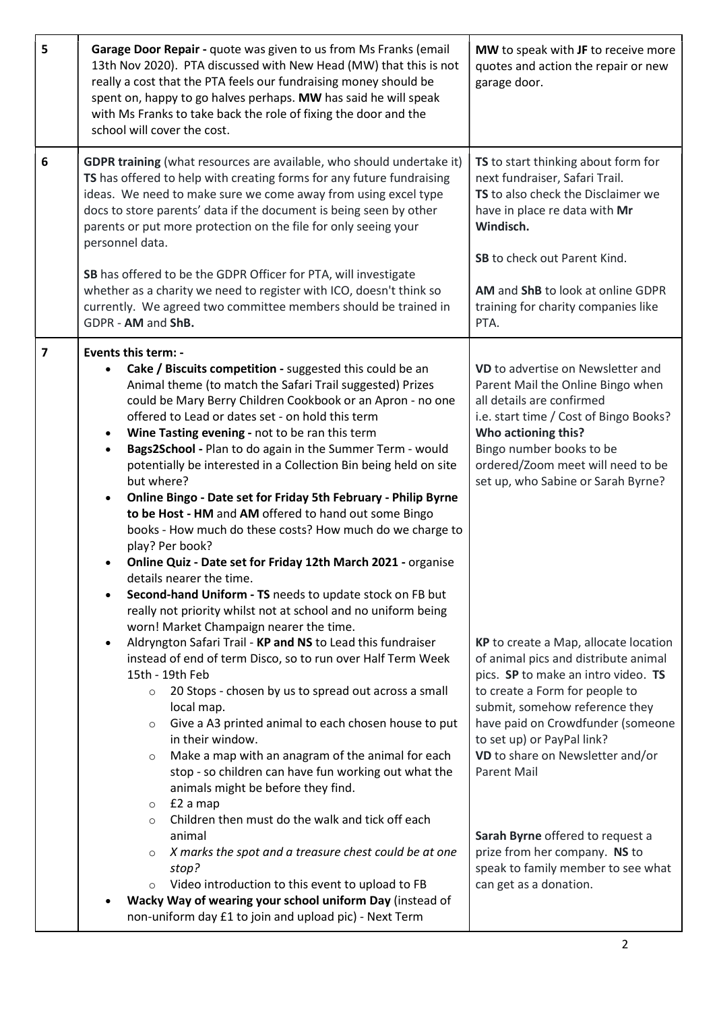| 5                       | Garage Door Repair - quote was given to us from Ms Franks (email<br>13th Nov 2020). PTA discussed with New Head (MW) that this is not<br>really a cost that the PTA feels our fundraising money should be<br>spent on, happy to go halves perhaps. MW has said he will speak<br>with Ms Franks to take back the role of fixing the door and the<br>school will cover the cost.                                                                                                                                                                                                                                                                                                                                                                                                                                                                                                                                                                                                                                                                                                                                                                                                                                                                                                                                                                                                                                                                                                                                                                                                                                                                                                                                                                 | MW to speak with JF to receive more<br>quotes and action the repair or new<br>garage door.                                                                                                                                                                                                                                                                                                                                                                                                                                                                                                                                                                                                                                                |
|-------------------------|------------------------------------------------------------------------------------------------------------------------------------------------------------------------------------------------------------------------------------------------------------------------------------------------------------------------------------------------------------------------------------------------------------------------------------------------------------------------------------------------------------------------------------------------------------------------------------------------------------------------------------------------------------------------------------------------------------------------------------------------------------------------------------------------------------------------------------------------------------------------------------------------------------------------------------------------------------------------------------------------------------------------------------------------------------------------------------------------------------------------------------------------------------------------------------------------------------------------------------------------------------------------------------------------------------------------------------------------------------------------------------------------------------------------------------------------------------------------------------------------------------------------------------------------------------------------------------------------------------------------------------------------------------------------------------------------------------------------------------------------|-------------------------------------------------------------------------------------------------------------------------------------------------------------------------------------------------------------------------------------------------------------------------------------------------------------------------------------------------------------------------------------------------------------------------------------------------------------------------------------------------------------------------------------------------------------------------------------------------------------------------------------------------------------------------------------------------------------------------------------------|
| $6\phantom{1}6$         | <b>GDPR training</b> (what resources are available, who should undertake it)<br>TS has offered to help with creating forms for any future fundraising<br>ideas. We need to make sure we come away from using excel type<br>docs to store parents' data if the document is being seen by other<br>parents or put more protection on the file for only seeing your<br>personnel data.                                                                                                                                                                                                                                                                                                                                                                                                                                                                                                                                                                                                                                                                                                                                                                                                                                                                                                                                                                                                                                                                                                                                                                                                                                                                                                                                                            | TS to start thinking about form for<br>next fundraiser, Safari Trail.<br>TS to also check the Disclaimer we<br>have in place re data with Mr<br>Windisch.<br>SB to check out Parent Kind.                                                                                                                                                                                                                                                                                                                                                                                                                                                                                                                                                 |
|                         | SB has offered to be the GDPR Officer for PTA, will investigate<br>whether as a charity we need to register with ICO, doesn't think so<br>currently. We agreed two committee members should be trained in<br>GDPR - AM and ShB.                                                                                                                                                                                                                                                                                                                                                                                                                                                                                                                                                                                                                                                                                                                                                                                                                                                                                                                                                                                                                                                                                                                                                                                                                                                                                                                                                                                                                                                                                                                | AM and ShB to look at online GDPR<br>training for charity companies like<br>PTA.                                                                                                                                                                                                                                                                                                                                                                                                                                                                                                                                                                                                                                                          |
| $\overline{\mathbf{z}}$ | <b>Events this term: -</b><br>Cake / Biscuits competition - suggested this could be an<br>Animal theme (to match the Safari Trail suggested) Prizes<br>could be Mary Berry Children Cookbook or an Apron - no one<br>offered to Lead or dates set - on hold this term<br>Wine Tasting evening - not to be ran this term<br>$\bullet$<br>Bags2School - Plan to do again in the Summer Term - would<br>$\bullet$<br>potentially be interested in a Collection Bin being held on site<br>but where?<br>Online Bingo - Date set for Friday 5th February - Philip Byrne<br>$\bullet$<br>to be Host - HM and AM offered to hand out some Bingo<br>books - How much do these costs? How much do we charge to<br>play? Per book?<br>Online Quiz - Date set for Friday 12th March 2021 - organise<br>details nearer the time.<br>Second-hand Uniform - TS needs to update stock on FB but<br>$\bullet$<br>really not priority whilst not at school and no uniform being<br>worn! Market Champaign nearer the time.<br>Aldryngton Safari Trail - KP and NS to Lead this fundraiser<br>$\bullet$<br>instead of end of term Disco, so to run over Half Term Week<br>15th - 19th Feb<br>20 Stops - chosen by us to spread out across a small<br>$\circ$<br>local map.<br>Give a A3 printed animal to each chosen house to put<br>$\circ$<br>in their window.<br>Make a map with an anagram of the animal for each<br>$\circ$<br>stop - so children can have fun working out what the<br>animals might be before they find.<br>£2 a map<br>$\circ$<br>Children then must do the walk and tick off each<br>$\circ$<br>animal<br>X marks the spot and a treasure chest could be at one<br>$\circ$<br>stop?<br>Video introduction to this event to upload to FB | VD to advertise on Newsletter and<br>Parent Mail the Online Bingo when<br>all details are confirmed<br>i.e. start time / Cost of Bingo Books?<br>Who actioning this?<br>Bingo number books to be<br>ordered/Zoom meet will need to be<br>set up, who Sabine or Sarah Byrne?<br>KP to create a Map, allocate location<br>of animal pics and distribute animal<br>pics. SP to make an intro video. TS<br>to create a Form for people to<br>submit, somehow reference they<br>have paid on Crowdfunder (someone<br>to set up) or PayPal link?<br>VD to share on Newsletter and/or<br><b>Parent Mail</b><br>Sarah Byrne offered to request a<br>prize from her company. NS to<br>speak to family member to see what<br>can get as a donation. |
|                         | Wacky Way of wearing your school uniform Day (instead of<br>non-uniform day £1 to join and upload pic) - Next Term                                                                                                                                                                                                                                                                                                                                                                                                                                                                                                                                                                                                                                                                                                                                                                                                                                                                                                                                                                                                                                                                                                                                                                                                                                                                                                                                                                                                                                                                                                                                                                                                                             |                                                                                                                                                                                                                                                                                                                                                                                                                                                                                                                                                                                                                                                                                                                                           |